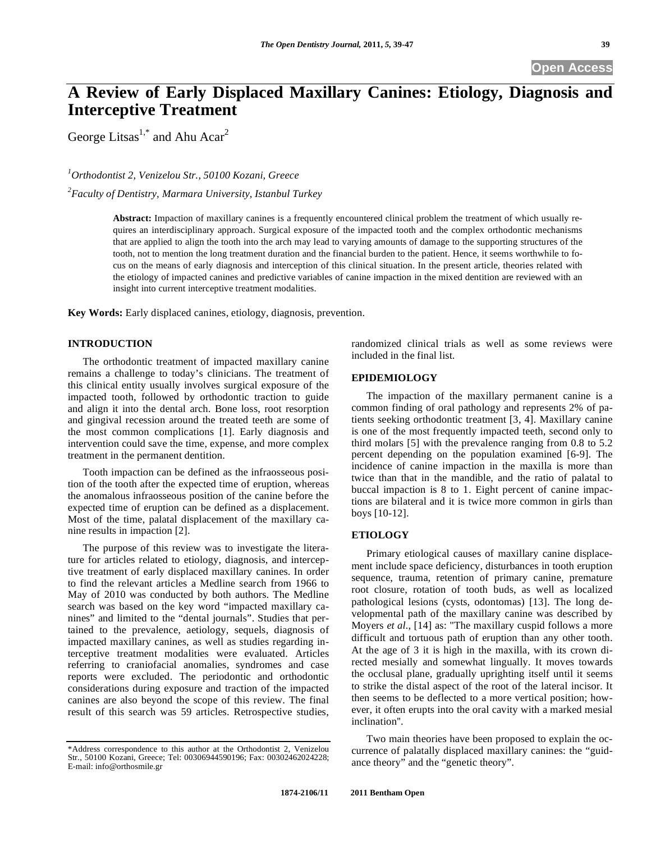# **A Review of Early Displaced Maxillary Canines: Etiology, Diagnosis and Interceptive Treatment**

George Litsas<sup>1,\*</sup> and Ahu Acar<sup>2</sup>

*1 Orthodontist 2, Venizelou Str., 50100 Kozani, Greece* 

*2 Faculty of Dentistry, Marmara University, Istanbul Turkey* 

**Abstract:** Impaction of maxillary canines is a frequently encountered clinical problem the treatment of which usually requires an interdisciplinary approach. Surgical exposure of the impacted tooth and the complex orthodontic mechanisms that are applied to align the tooth into the arch may lead to varying amounts of damage to the supporting structures of the tooth, not to mention the long treatment duration and the financial burden to the patient. Hence, it seems worthwhile to focus on the means of early diagnosis and interception of this clinical situation. In the present article, theories related with the etiology of impacted canines and predictive variables of canine impaction in the mixed dentition are reviewed with an insight into current interceptive treatment modalities.

**Key Words:** Early displaced canines, etiology, diagnosis, prevention.

## **INTRODUCTION**

The orthodontic treatment of impacted maxillary canine remains a challenge to today's clinicians. The treatment of this clinical entity usually involves surgical exposure of the impacted tooth, followed by orthodontic traction to guide and align it into the dental arch. Bone loss, root resorption and gingival recession around the treated teeth are some of the most common complications [1]. Early diagnosis and intervention could save the time, expense, and more complex treatment in the permanent dentition.

Tooth impaction can be defined as the infraosseous position of the tooth after the expected time of eruption, whereas the anomalous infraosseous position of the canine before the expected time of eruption can be defined as a displacement. Most of the time, palatal displacement of the maxillary canine results in impaction [2].

The purpose of this review was to investigate the literature for articles related to etiology, diagnosis, and interceptive treatment of early displaced maxillary canines. In order to find the relevant articles a Medline search from 1966 to May of 2010 was conducted by both authors. The Medline search was based on the key word "impacted maxillary canines" and limited to the "dental journals". Studies that pertained to the prevalence, aetiology, sequels, diagnosis of impacted maxillary canines, as well as studies regarding interceptive treatment modalities were evaluated. Articles referring to craniofacial anomalies, syndromes and case reports were excluded. The periodontic and orthodontic considerations during exposure and traction of the impacted canines are also beyond the scope of this review. The final result of this search was 59 articles. Retrospective studies, randomized clinical trials as well as some reviews were included in the final list.

# **EPIDEMIOLOGY**

The impaction of the maxillary permanent canine is a common finding of oral pathology and represents 2% of patients seeking orthodontic treatment [3, 4]. Maxillary canine is one of the most frequently impacted teeth, second only to third molars [5] with the prevalence ranging from 0.8 to 5.2 percent depending on the population examined [6-9]. The incidence of canine impaction in the maxilla is more than twice than that in the mandible, and the ratio of palatal to buccal impaction is 8 to 1. Eight percent of canine impactions are bilateral and it is twice more common in girls than boys [10-12].

## **ETIOLOGY**

Primary etiological causes of maxillary canine displacement include space deficiency, disturbances in tooth eruption sequence, trauma, retention of primary canine, premature root closure, rotation of tooth buds, as well as localized pathological lesions (cysts, odontomas) [13]. The long developmental path of the maxillary canine was described by Moyers *et al.*, [14] as: "The maxillary cuspid follows a more difficult and tortuous path of eruption than any other tooth. At the age of 3 it is high in the maxilla, with its crown directed mesially and somewhat lingually. It moves towards the occlusal plane, gradually uprighting itself until it seems to strike the distal aspect of the root of the lateral incisor. It then seems to be deflected to a more vertical position; however, it often erupts into the oral cavity with a marked mesial inclination''.

Two main theories have been proposed to explain the occurrence of palatally displaced maxillary canines: the "guidance theory" and the "genetic theory".

<sup>\*</sup>Address correspondence to this author at the Orthodontist 2, Venizelou Str., 50100 Kozani, Greece; Tel: 00306944590196; Fax: 00302462024228; E-mail: info@orthosmile.gr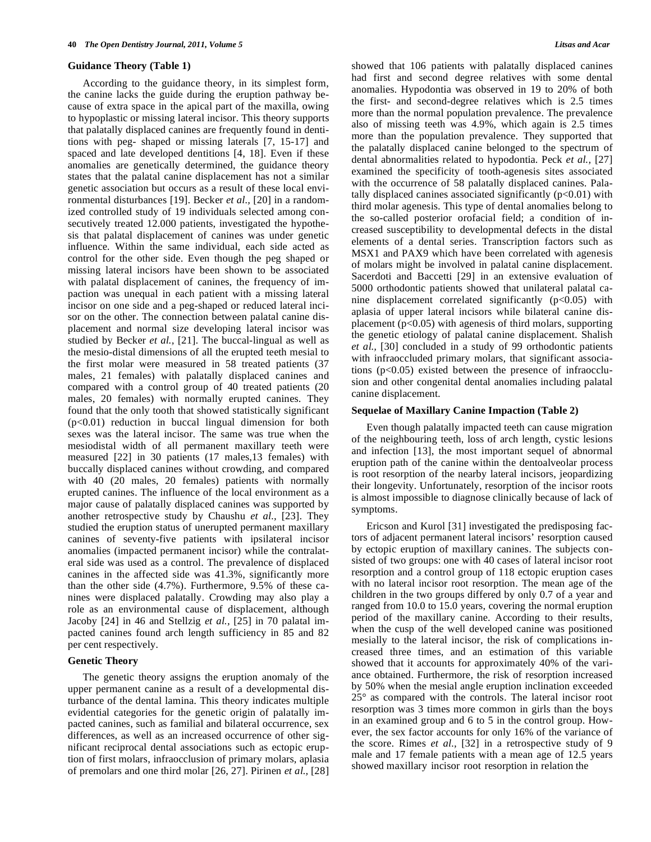#### **Guidance Theory (Table 1)**

According to the guidance theory, in its simplest form, the canine lacks the guide during the eruption pathway because of extra space in the apical part of the maxilla, owing to hypoplastic or missing lateral incisor. This theory supports that palatally displaced canines are frequently found in dentitions with peg- shaped or missing laterals [7, 15-17] and spaced and late developed dentitions [4, 18]. Even if these anomalies are genetically determined, the guidance theory states that the palatal canine displacement has not a similar genetic association but occurs as a result of these local environmental disturbances [19]. Becker *et al.,* [20] in a randomized controlled study of 19 individuals selected among consecutively treated 12.000 patients, investigated the hypothesis that palatal displacement of canines was under genetic influence. Within the same individual, each side acted as control for the other side. Even though the peg shaped or missing lateral incisors have been shown to be associated with palatal displacement of canines, the frequency of impaction was unequal in each patient with a missing lateral incisor on one side and a peg-shaped or reduced lateral incisor on the other. The connection between palatal canine displacement and normal size developing lateral incisor was studied by Becker *et al.,* [21]. The buccal-lingual as well as the mesio-distal dimensions of all the erupted teeth mesial to the first molar were measured in 58 treated patients (37 males, 21 females) with palatally displaced canines and compared with a control group of 40 treated patients (20 males, 20 females) with normally erupted canines. They found that the only tooth that showed statistically significant  $(p<0.01)$  reduction in buccal lingual dimension for both sexes was the lateral incisor. The same was true when the mesiodistal width of all permanent maxillary teeth were measured [22] in 30 patients (17 males,13 females) with buccally displaced canines without crowding, and compared with 40 (20 males, 20 females) patients with normally erupted canines. The influence of the local environment as a major cause of palatally displaced canines was supported by another retrospective study by Chaushu *et al.,* [23]. They studied the eruption status of unerupted permanent maxillary canines of seventy-five patients with ipsilateral incisor anomalies (impacted permanent incisor) while the contralateral side was used as a control. The prevalence of displaced canines in the affected side was 41.3%, significantly more than the other side (4.7%). Furthermore, 9.5% of these canines were displaced palatally. Crowding may also play a role as an environmental cause of displacement, although Jacoby [24] in 46 and Stellzig *et al.,* [25] in 70 palatal impacted canines found arch length sufficiency in 85 and 82 per cent respectively.

## **Genetic Theory**

The genetic theory assigns the eruption anomaly of the upper permanent canine as a result of a developmental disturbance of the dental lamina. This theory indicates multiple evidential categories for the genetic origin of palatally impacted canines, such as familial and bilateral occurrence, sex differences, as well as an increased occurrence of other significant reciprocal dental associations such as ectopic eruption of first molars, infraocclusion of primary molars, aplasia of premolars and one third molar [26, 27]. Pirinen *et al.,* [28] showed that 106 patients with palatally displaced canines had first and second degree relatives with some dental anomalies. Hypodontia was observed in 19 to 20% of both the first- and second-degree relatives which is 2.5 times more than the normal population prevalence. The prevalence also of missing teeth was 4.9%, which again is 2.5 times more than the population prevalence. They supported that the palatally displaced canine belonged to the spectrum of dental abnormalities related to hypodontia. Peck *et al.,* [27] examined the specificity of tooth-agenesis sites associated with the occurrence of 58 palatally displaced canines. Palatally displaced canines associated significantly  $(p<0.01)$  with third molar agenesis. This type of dental anomalies belong to the so-called posterior orofacial field; a condition of increased susceptibility to developmental defects in the distal elements of a dental series. Transcription factors such as MSX1 and PAX9 which have been correlated with agenesis of molars might be involved in palatal canine displacement. Sacerdoti and Baccetti [29] in an extensive evaluation of 5000 orthodontic patients showed that unilateral palatal canine displacement correlated significantly  $(p<0.05)$  with aplasia of upper lateral incisors while bilateral canine displacement ( $p<0.05$ ) with agenesis of third molars, supporting the genetic etiology of palatal canine displacement. Shalish *et al.,* [30] concluded in a study of 99 orthodontic patients with infraoccluded primary molars, that significant associations (p<0.05) existed between the presence of infraocclusion and other congenital dental anomalies including palatal canine displacement.

## **Sequelae of Maxillary Canine Impaction (Table 2)**

Even though palatally impacted teeth can cause migration of the neighbouring teeth, loss of arch length, cystic lesions and infection [13], the most important sequel of abnormal eruption path of the canine within the dentoalveolar process is root resorption of the nearby lateral incisors, jeopardizing their longevity. Unfortunately, resorption of the incisor roots is almost impossible to diagnose clinically because of lack of symptoms.

Ericson and Kurol [31] investigated the predisposing factors of adjacent permanent lateral incisors' resorption caused by ectopic eruption of maxillary canines. The subjects consisted of two groups: one with 40 cases of lateral incisor root resorption and a control group of 118 ectopic eruption cases with no lateral incisor root resorption. The mean age of the children in the two groups differed by only 0.7 of a year and ranged from 10.0 to 15.0 years, covering the normal eruption period of the maxillary canine. According to their results, when the cusp of the well developed canine was positioned mesially to the lateral incisor, the risk of complications increased three times, and an estimation of this variable showed that it accounts for approximately 40% of the variance obtained. Furthermore, the risk of resorption increased by 50% when the mesial angle eruption inclination exceeded 25° as compared with the controls. The lateral incisor root resorption was 3 times more common in girls than the boys in an examined group and 6 to 5 in the control group. However, the sex factor accounts for only 16% of the variance of the score. Rimes *et al.,* [32] in a retrospective study of 9 male and 17 female patients with a mean age of 12.5 years showed maxillary incisor root resorption in relation the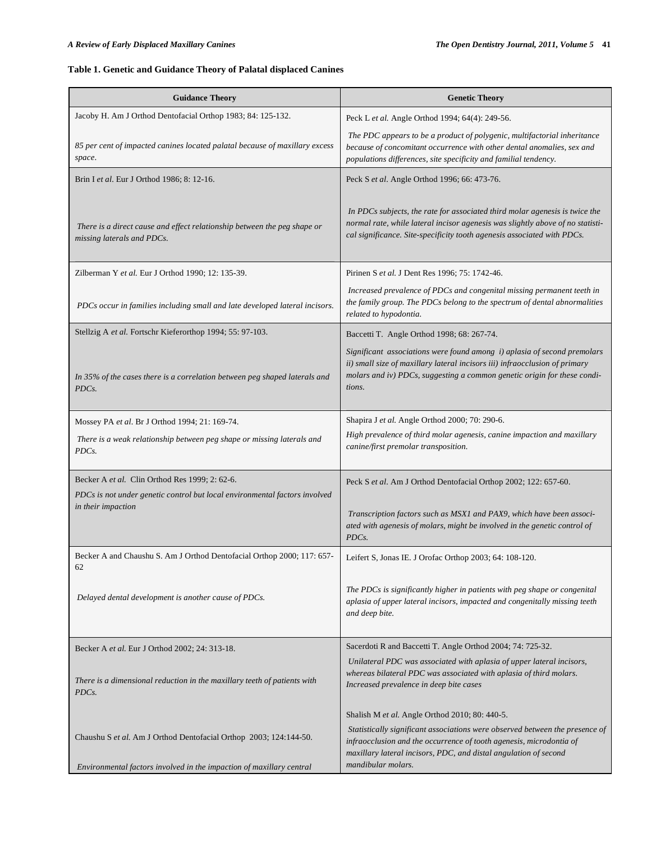# **Table 1. Genetic and Guidance Theory of Palatal displaced Canines**

| <b>Guidance Theory</b>                                                                                                                    | <b>Genetic Theory</b>                                                                                                                                                                                                                         |
|-------------------------------------------------------------------------------------------------------------------------------------------|-----------------------------------------------------------------------------------------------------------------------------------------------------------------------------------------------------------------------------------------------|
| Jacoby H. Am J Orthod Dentofacial Orthop 1983; 84: 125-132.                                                                               | Peck L et al. Angle Orthod 1994; 64(4): 249-56.                                                                                                                                                                                               |
| 85 per cent of impacted canines located palatal because of maxillary excess<br>space.                                                     | The PDC appears to be a product of polygenic, multifactorial inheritance<br>because of concomitant occurrence with other dental anomalies, sex and<br>populations differences, site specificity and familial tendency.                        |
| Brin I et al. Eur J Orthod 1986; 8: 12-16.                                                                                                | Peck S et al. Angle Orthod 1996; 66: 473-76.                                                                                                                                                                                                  |
| There is a direct cause and effect relationship between the peg shape or<br>missing laterals and PDCs.                                    | In PDCs subjects, the rate for associated third molar agenesis is twice the<br>normal rate, while lateral incisor agenesis was slightly above of no statisti-<br>cal significance. Site-specificity tooth agenesis associated with PDCs.      |
| Zilberman Y et al. Eur J Orthod 1990; 12: 135-39.                                                                                         | Pirinen S et al. J Dent Res 1996; 75: 1742-46.                                                                                                                                                                                                |
| PDCs occur in families including small and late developed lateral incisors.                                                               | Increased prevalence of PDCs and congenital missing permanent teeth in<br>the family group. The PDCs belong to the spectrum of dental abnormalities<br>related to hypodontia.                                                                 |
| Stellzig A et al. Fortschr Kieferorthop 1994; 55: 97-103.                                                                                 | Baccetti T. Angle Orthod 1998; 68: 267-74.                                                                                                                                                                                                    |
| In 35% of the cases there is a correlation between peg shaped laterals and<br>PDCs.                                                       | Significant associations were found among i) aplasia of second premolars<br>ii) small size of maxillary lateral incisors iii) infraocclusion of primary<br>molars and iv) PDCs, suggesting a common genetic origin for these condi-<br>tions. |
| Mossey PA et al. Br J Orthod 1994; 21: 169-74.                                                                                            | Shapira J et al. Angle Orthod 2000; 70: 290-6.                                                                                                                                                                                                |
| There is a weak relationship between peg shape or missing laterals and<br>PDCs.                                                           | High prevalence of third molar agenesis, canine impaction and maxillary<br>canine/first premolar transposition.                                                                                                                               |
| Becker A et al. Clin Orthod Res 1999; 2: 62-6.                                                                                            | Peck S et al. Am J Orthod Dentofacial Orthop 2002; 122: 657-60.                                                                                                                                                                               |
| PDCs is not under genetic control but local environmental factors involved<br>in their impaction                                          | Transcription factors such as MSX1 and PAX9, which have been associ-<br>ated with agenesis of molars, might be involved in the genetic control of<br>PDCs.                                                                                    |
| Becker A and Chaushu S. Am J Orthod Dentofacial Orthop 2000; 117: 657-<br>62                                                              | Leifert S, Jonas IE. J Orofac Orthop 2003; 64: 108-120.                                                                                                                                                                                       |
| Delayed dental development is another cause of PDCs.                                                                                      | The PDCs is significantly higher in patients with peg shape or congenital<br>aplasia of upper lateral incisors, impacted and congenitally missing teeth<br>and deep bite.                                                                     |
| Becker A et al. Eur J Orthod 2002; 24: 313-18.                                                                                            | Sacerdoti R and Baccetti T. Angle Orthod 2004; 74: 725-32.                                                                                                                                                                                    |
| There is a dimensional reduction in the maxillary teeth of patients with<br>PDC <sub>s</sub> .                                            | Unilateral PDC was associated with aplasia of upper lateral incisors,<br>whereas bilateral PDC was associated with aplasia of third molars.<br>Increased prevalence in deep bite cases                                                        |
|                                                                                                                                           | Shalish M <i>et al.</i> Angle Orthod 2010; 80: 440-5.                                                                                                                                                                                         |
| Chaushu S et al. Am J Orthod Dentofacial Orthop 2003; 124:144-50.<br>Environmental factors involved in the impaction of maxillary central | Statistically significant associations were observed between the presence of<br>infraocclusion and the occurrence of tooth agenesis, microdontia of<br>maxillary lateral incisors, PDC, and distal angulation of second<br>mandibular molars. |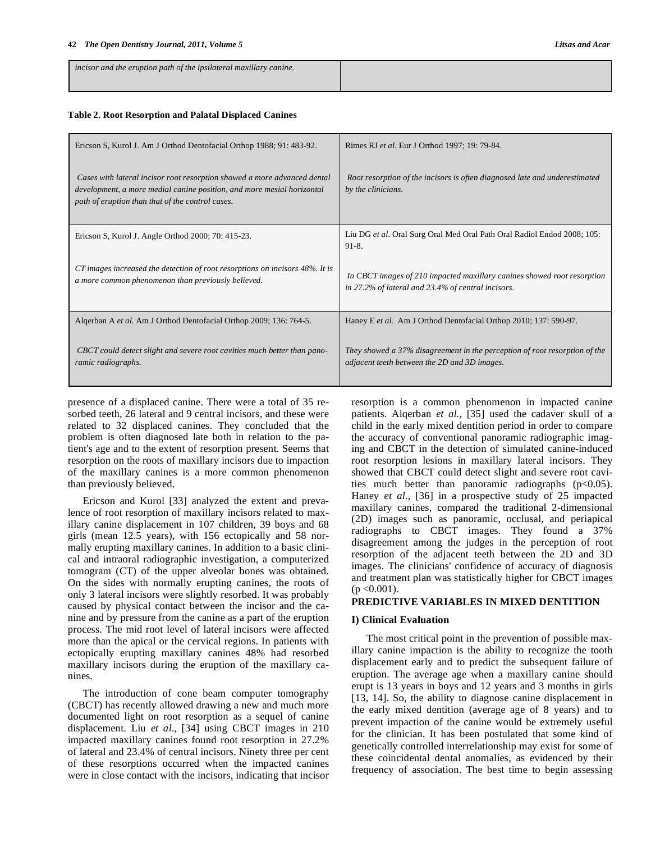| incisor and the eruption path of the ipsilateral maxillary canine. |  |
|--------------------------------------------------------------------|--|
|                                                                    |  |
|                                                                    |  |
|                                                                    |  |
|                                                                    |  |

## **Table 2. Root Resorption and Palatal Displaced Canines**

| Ericson S, Kurol J. Am J Orthod Dentofacial Orthop 1988; 91: 483-92.                                                                                                                                   | Rimes RJ et al. Eur J Orthod 1997; 19: 79-84.                                                                                 |
|--------------------------------------------------------------------------------------------------------------------------------------------------------------------------------------------------------|-------------------------------------------------------------------------------------------------------------------------------|
| Cases with lateral incisor root resorption showed a more advanced dental<br>development, a more medial canine position, and more mesial horizontal<br>path of eruption than that of the control cases. | Root resorption of the incisors is often diagnosed late and underestimated<br>by the clinicians.                              |
| Ericson S, Kurol J. Angle Orthod 2000; 70: 415-23.                                                                                                                                                     | Liu DG et al. Oral Surg Oral Med Oral Path Oral Radiol Endod 2008; 105:<br>$91-8.$                                            |
| CT images increased the detection of root resorptions on incisors 48%. It is<br>a more common phenomenon than previously believed.                                                                     | In CBCT images of 210 impacted maxillary canines showed root resorption<br>in 27.2% of lateral and 23.4% of central incisors. |
| Algerban A et al. Am J Orthod Dentofacial Orthop 2009; 136: 764-5.                                                                                                                                     | Haney E et al. Am J Orthod Dentofacial Orthop 2010; 137: 590-97.                                                              |
| CBCT could detect slight and severe root cavities much better than pano-<br>ramic radiographs.                                                                                                         | They showed a 37% disagreement in the perception of root resorption of the<br>adjacent teeth between the 2D and 3D images.    |

presence of a displaced canine. There were a total of 35 resorbed teeth, 26 lateral and 9 central incisors, and these were related to 32 displaced canines. They concluded that the problem is often diagnosed late both in relation to the patient's age and to the extent of resorption present. Seems that resorption on the roots of maxillary incisors due to impaction of the maxillary canines is a more common phenomenon than previously believed.

Ericson and Kurol [33] analyzed the extent and prevalence of root resorption of maxillary incisors related to maxillary canine displacement in 107 children, 39 boys and 68 girls (mean 12.5 years), with 156 ectopically and 58 normally erupting maxillary canines. In addition to a basic clinical and intraoral radiographic investigation, a computerized tomogram (CT) of the upper alveolar bones was obtained. On the sides with normally erupting canines, the roots of only 3 lateral incisors were slightly resorbed. It was probably caused by physical contact between the incisor and the canine and by pressure from the canine as a part of the eruption process. The mid root level of lateral incisors were affected more than the apical or the cervical regions. In patients with ectopically erupting maxillary canines 48% had resorbed maxillary incisors during the eruption of the maxillary canines.

The introduction of cone beam computer tomography (CBCT) has recently allowed drawing a new and much more documented light on root resorption as a sequel of canine displacement. Liu *et al.,* [34] using CBCT images in 210 impacted maxillary canines found root resorption in 27.2% of lateral and 23.4% of central incisors. Ninety three per cent of these resorptions occurred when the impacted canines were in close contact with the incisors, indicating that incisor resorption is a common phenomenon in impacted canine patients. Alqerban *et al.,* [35] used the cadaver skull of a child in the early mixed dentition period in order to compare the accuracy of conventional panoramic radiographic imaging and CBCT in the detection of simulated canine-induced root resorption lesions in maxillary lateral incisors. They showed that CBCT could detect slight and severe root cavities much better than panoramic radiographs  $(p<0.05)$ . Haney *et al.,* [36] in a prospective study of 25 impacted maxillary canines, compared the traditional 2-dimensional (2D) images such as panoramic, occlusal, and periapical radiographs to CBCT images. They found a 37% disagreement among the judges in the perception of root resorption of the adjacent teeth between the 2D and 3D images. The clinicians' confidence of accuracy of diagnosis and treatment plan was statistically higher for CBCT images  $(p \le 0.001)$ .

## **PREDICTIVE VARIABLES IN MIXED DENTITION**

## **I) Clinical Evaluation**

The most critical point in the prevention of possible maxillary canine impaction is the ability to recognize the tooth displacement early and to predict the subsequent failure of eruption. The average age when a maxillary canine should erupt is 13 years in boys and 12 years and 3 months in girls [13, 14]. So, the ability to diagnose canine displacement in the early mixed dentition (average age of 8 years) and to prevent impaction of the canine would be extremely useful for the clinician. It has been postulated that some kind of genetically controlled interrelationship may exist for some of these coincidental dental anomalies, as evidenced by their frequency of association. The best time to begin assessing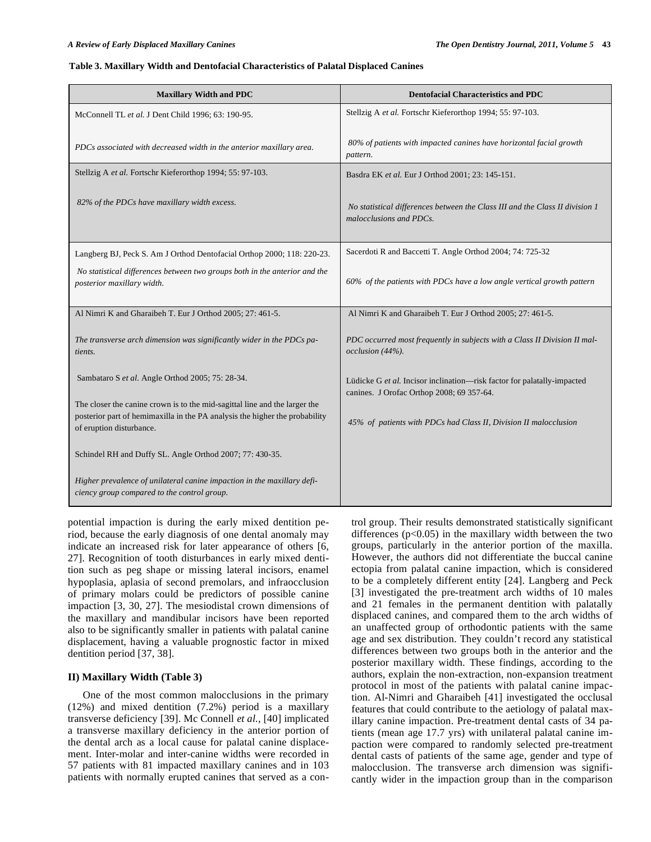#### **Table 3. Maxillary Width and Dentofacial Characteristics of Palatal Displaced Canines**

| <b>Maxillary Width and PDC</b>                                                                                                                                                        | <b>Dentofacial Characteristics and PDC</b>                                                                           |
|---------------------------------------------------------------------------------------------------------------------------------------------------------------------------------------|----------------------------------------------------------------------------------------------------------------------|
| McConnell TL et al. J Dent Child 1996; 63: 190-95.                                                                                                                                    | Stellzig A et al. Fortschr Kieferorthop 1994; 55: 97-103.                                                            |
| PDCs associated with decreased width in the anterior maxillary area.                                                                                                                  | 80% of patients with impacted canines have horizontal facial growth<br>pattern.                                      |
| Stellzig A et al. Fortschr Kieferorthop 1994; 55: 97-103.                                                                                                                             | Basdra EK et al. Eur J Orthod 2001; 23: 145-151.                                                                     |
| 82% of the PDCs have maxillary width excess.                                                                                                                                          | No statistical differences between the Class III and the Class II division 1<br>malocclusions and PDCs.              |
| Langberg BJ, Peck S. Am J Orthod Dentofacial Orthop 2000; 118: 220-23.                                                                                                                | Sacerdoti R and Baccetti T. Angle Orthod 2004; 74: 725-32                                                            |
| No statistical differences between two groups both in the anterior and the<br>posterior maxillary width.                                                                              | 60% of the patients with PDCs have a low angle vertical growth pattern                                               |
| Al Nimri K and Gharaibeh T. Eur J Orthod 2005; 27: 461-5.                                                                                                                             | Al Nimri K and Gharaibeh T. Eur J Orthod 2005; 27: 461-5.                                                            |
| The transverse arch dimension was significantly wider in the PDCs pa-<br>tients.                                                                                                      | PDC occurred most frequently in subjects with a Class II Division II mal-<br>occlusion (44%).                        |
| Sambataro S et al. Angle Orthod 2005; 75: 28-34.                                                                                                                                      | Lüdicke G et al. Incisor inclination-risk factor for palatally-impacted<br>canines. J Orofac Orthop 2008; 69 357-64. |
| The closer the canine crown is to the mid-sagittal line and the larger the<br>posterior part of hemimaxilla in the PA analysis the higher the probability<br>of eruption disturbance. | 45% of patients with PDCs had Class II, Division II malocclusion                                                     |
| Schindel RH and Duffy SL. Angle Orthod 2007; 77: 430-35.                                                                                                                              |                                                                                                                      |
| Higher prevalence of unilateral canine impaction in the maxillary defi-<br>ciency group compared to the control group.                                                                |                                                                                                                      |

potential impaction is during the early mixed dentition period, because the early diagnosis of one dental anomaly may indicate an increased risk for later appearance of others [6, 27]. Recognition of tooth disturbances in early mixed dentition such as peg shape or missing lateral incisors, enamel hypoplasia, aplasia of second premolars, and infraocclusion of primary molars could be predictors of possible canine impaction [3, 30, 27]. The mesiodistal crown dimensions of the maxillary and mandibular incisors have been reported also to be significantly smaller in patients with palatal canine displacement, having a valuable prognostic factor in mixed dentition period [37, 38].

## **II) Maxillary Width (Table 3)**

One of the most common malocclusions in the primary (12%) and mixed dentition (7.2%) period is a maxillary transverse deficiency [39]. Mc Connell *et al.,* [40] implicated a transverse maxillary deficiency in the anterior portion of the dental arch as a local cause for palatal canine displacement. Inter-molar and inter-canine widths were recorded in 57 patients with 81 impacted maxillary canines and in 103 patients with normally erupted canines that served as a control group. Their results demonstrated statistically significant differences  $(p<0.05)$  in the maxillary width between the two groups, particularly in the anterior portion of the maxilla. However, the authors did not differentiate the buccal canine ectopia from palatal canine impaction, which is considered to be a completely different entity [24]. Langberg and Peck [3] investigated the pre-treatment arch widths of 10 males and 21 females in the permanent dentition with palatally displaced canines, and compared them to the arch widths of an unaffected group of orthodontic patients with the same age and sex distribution. They couldn't record any statistical differences between two groups both in the anterior and the posterior maxillary width. These findings, according to the authors, explain the non-extraction, non-expansion treatment protocol in most of the patients with palatal canine impaction. Al-Nimri and Gharaibeh [41] investigated the occlusal features that could contribute to the aetiology of palatal maxillary canine impaction. Pre-treatment dental casts of 34 patients (mean age 17.7 yrs) with unilateral palatal canine impaction were compared to randomly selected pre-treatment dental casts of patients of the same age, gender and type of malocclusion. The transverse arch dimension was significantly wider in the impaction group than in the comparison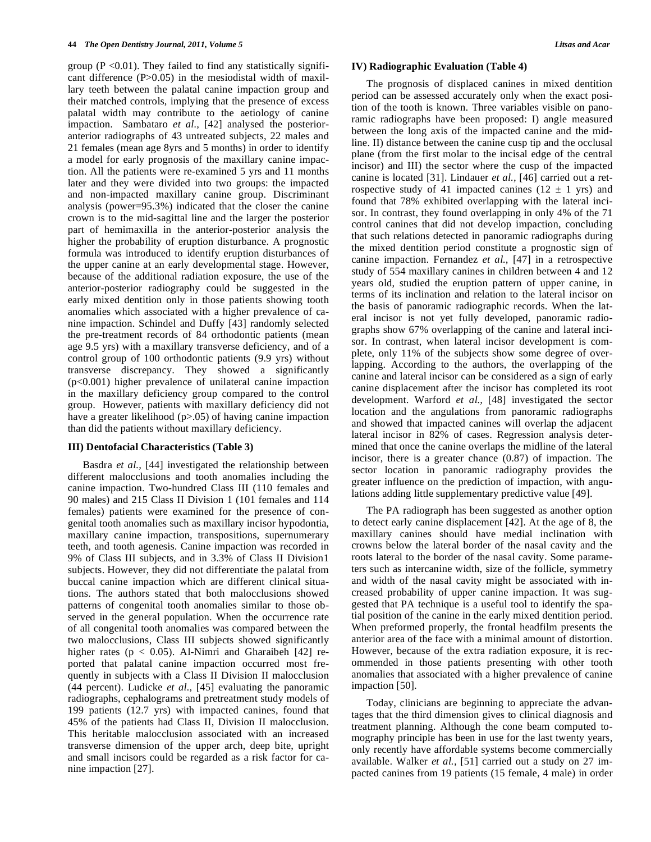group ( $P \le 0.01$ ). They failed to find any statistically significant difference (P>0.05) in the mesiodistal width of maxillary teeth between the palatal canine impaction group and their matched controls, implying that the presence of excess palatal width may contribute to the aetiology of canine impaction. Sambataro *et al.,* [42] analysed the posterioranterior radiographs of 43 untreated subjects, 22 males and 21 females (mean age 8yrs and 5 months) in order to identify a model for early prognosis of the maxillary canine impaction. All the patients were re-examined 5 yrs and 11 months later and they were divided into two groups: the impacted and non-impacted maxillary canine group. Discriminant analysis (power=95.3%) indicated that the closer the canine crown is to the mid-sagittal line and the larger the posterior part of hemimaxilla in the anterior-posterior analysis the higher the probability of eruption disturbance. A prognostic formula was introduced to identify eruption disturbances of the upper canine at an early developmental stage. However, because of the additional radiation exposure, the use of the anterior-posterior radiography could be suggested in the early mixed dentition only in those patients showing tooth anomalies which associated with a higher prevalence of canine impaction. Schindel and Duffy [43] randomly selected the pre-treatment records of 84 orthodontic patients (mean age 9.5 yrs) with a maxillary transverse deficiency, and of a control group of 100 orthodontic patients (9.9 yrs) without transverse discrepancy. They showed a significantly (p<0.001) higher prevalence of unilateral canine impaction in the maxillary deficiency group compared to the control group. However, patients with maxillary deficiency did not have a greater likelihood (p>.05) of having canine impaction than did the patients without maxillary deficiency.

## **III) Dentofacial Characteristics (Table 3)**

Basdra *et al.,* [44] investigated the relationship between different malocclusions and tooth anomalies including the canine impaction. Two-hundred Class III (110 females and 90 males) and 215 Class II Division 1 (101 females and 114 females) patients were examined for the presence of congenital tooth anomalies such as maxillary incisor hypodontia, maxillary canine impaction, transpositions, supernumerary teeth, and tooth agenesis. Canine impaction was recorded in 9% of Class III subjects, and in 3.3% of Class II Division1 subjects. However, they did not differentiate the palatal from buccal canine impaction which are different clinical situations. The authors stated that both malocclusions showed patterns of congenital tooth anomalies similar to those observed in the general population. When the occurrence rate of all congenital tooth anomalies was compared between the two malocclusions, Class III subjects showed significantly higher rates (p < 0.05). Al-Nimri and Gharaibeh [42] reported that palatal canine impaction occurred most frequently in subjects with a Class II Division II malocclusion (44 percent). Ludicke *et al.,* [45] evaluating the panoramic radiographs, cephalograms and pretreatment study models of 199 patients (12.7 yrs) with impacted canines, found that 45% of the patients had Class II, Division II malocclusion. This heritable malocclusion associated with an increased transverse dimension of the upper arch, deep bite, upright and small incisors could be regarded as a risk factor for canine impaction [27].

## **IV) Radiographic Evaluation (Table 4)**

The prognosis of displaced canines in mixed dentition period can be assessed accurately only when the exact position of the tooth is known. Three variables visible on panoramic radiographs have been proposed: I) angle measured between the long axis of the impacted canine and the midline. II) distance between the canine cusp tip and the occlusal plane (from the first molar to the incisal edge of the central incisor) and III) the sector where the cusp of the impacted canine is located [31]. Lindauer *et al.,* [46] carried out a retrospective study of 41 impacted canines ( $12 \pm 1$  yrs) and found that 78% exhibited overlapping with the lateral incisor. In contrast, they found overlapping in only 4% of the 71 control canines that did not develop impaction, concluding that such relations detected in panoramic radiographs during the mixed dentition period constitute a prognostic sign of canine impaction. Fernandez *et al.,* [47] in a retrospective study of 554 maxillary canines in children between 4 and 12 years old, studied the eruption pattern of upper canine, in terms of its inclination and relation to the lateral incisor on the basis of panoramic radiographic records. When the lateral incisor is not yet fully developed, panoramic radiographs show 67% overlapping of the canine and lateral incisor. In contrast, when lateral incisor development is complete, only 11% of the subjects show some degree of overlapping. According to the authors, the overlapping of the canine and lateral incisor can be considered as a sign of early canine displacement after the incisor has completed its root development. Warford *et al.,* [48] investigated the sector location and the angulations from panoramic radiographs and showed that impacted canines will overlap the adjacent lateral incisor in 82% of cases. Regression analysis determined that once the canine overlaps the midline of the lateral incisor, there is a greater chance (0.87) of impaction. The sector location in panoramic radiography provides the greater influence on the prediction of impaction, with angulations adding little supplementary predictive value [49].

The PA radiograph has been suggested as another option to detect early canine displacement [42]. At the age of 8, the maxillary canines should have medial inclination with crowns below the lateral border of the nasal cavity and the roots lateral to the border of the nasal cavity. Some parameters such as intercanine width, size of the follicle, symmetry and width of the nasal cavity might be associated with increased probability of upper canine impaction. It was suggested that PA technique is a useful tool to identify the spatial position of the canine in the early mixed dentition period. When preformed properly, the frontal headfilm presents the anterior area of the face with a minimal amount of distortion. However, because of the extra radiation exposure, it is recommended in those patients presenting with other tooth anomalies that associated with a higher prevalence of canine impaction [50].

Today, clinicians are beginning to appreciate the advantages that the third dimension gives to clinical diagnosis and treatment planning. Although the cone beam computed tomography principle has been in use for the last twenty years, only recently have affordable systems become commercially available. Walker *et al.,* [51] carried out a study on 27 impacted canines from 19 patients (15 female, 4 male) in order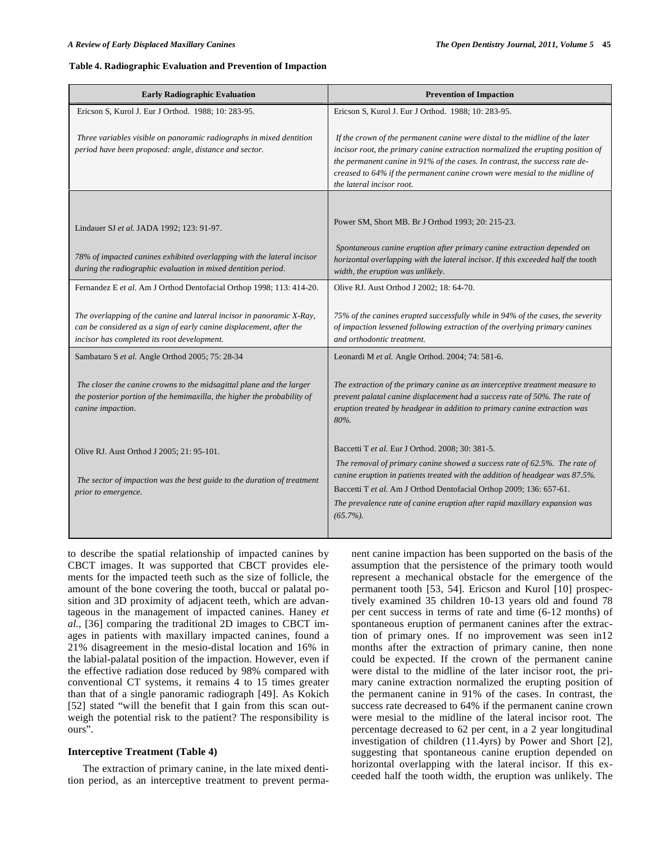### **Table 4. Radiographic Evaluation and Prevention of Impaction**

| <b>Early Radiographic Evaluation</b>                                                                                                                                                        | <b>Prevention of Impaction</b>                                                                                                                                                                                                                                                                                                                            |
|---------------------------------------------------------------------------------------------------------------------------------------------------------------------------------------------|-----------------------------------------------------------------------------------------------------------------------------------------------------------------------------------------------------------------------------------------------------------------------------------------------------------------------------------------------------------|
| Ericson S, Kurol J. Eur J Orthod. 1988; 10: 283-95.                                                                                                                                         | Ericson S, Kurol J. Eur J Orthod. 1988; 10: 283-95.                                                                                                                                                                                                                                                                                                       |
| Three variables visible on panoramic radiographs in mixed dentition<br>period have been proposed: angle, distance and sector.                                                               | If the crown of the permanent canine were distal to the midline of the later<br>incisor root, the primary canine extraction normalized the erupting position of<br>the permanent canine in 91% of the cases. In contrast, the success rate de-<br>creased to 64% if the permanent canine crown were mesial to the midline of<br>the lateral incisor root. |
|                                                                                                                                                                                             |                                                                                                                                                                                                                                                                                                                                                           |
| Lindauer SJ et al. JADA 1992; 123: 91-97.                                                                                                                                                   | Power SM, Short MB. Br J Orthod 1993; 20: 215-23.                                                                                                                                                                                                                                                                                                         |
| 78% of impacted canines exhibited overlapping with the lateral incisor<br>during the radiographic evaluation in mixed dentition period.                                                     | Spontaneous canine eruption after primary canine extraction depended on<br>horizontal overlapping with the lateral incisor. If this exceeded half the tooth<br>width, the eruption was unlikely.                                                                                                                                                          |
| Fernandez E et al. Am J Orthod Dentofacial Orthop 1998; 113: 414-20.                                                                                                                        | Olive RJ. Aust Orthod J 2002; 18: 64-70.                                                                                                                                                                                                                                                                                                                  |
| The overlapping of the canine and lateral incisor in panoramic X-Ray,<br>can be considered as a sign of early canine displacement, after the<br>incisor has completed its root development. | 75% of the canines erupted successfully while in 94% of the cases, the severity<br>of impaction lessened following extraction of the overlying primary canines<br>and orthodontic treatment.                                                                                                                                                              |
| Sambataro S et al. Angle Orthod 2005; 75: 28-34                                                                                                                                             | Leonardi M et al. Angle Orthod. 2004; 74: 581-6.                                                                                                                                                                                                                                                                                                          |
| The closer the canine crowns to the midsagittal plane and the larger<br>the posterior portion of the hemimaxilla, the higher the probability of<br>canine impaction.                        | The extraction of the primary canine as an interceptive treatment measure to<br>prevent palatal canine displacement had a success rate of 50%. The rate of<br>eruption treated by headgear in addition to primary canine extraction was<br>80%.                                                                                                           |
| Olive RJ. Aust Orthod J 2005; 21: 95-101.                                                                                                                                                   | Baccetti T et al. Eur J Orthod. 2008; 30: 381-5.<br>The removal of primary canine showed a success rate of 62.5%. The rate of                                                                                                                                                                                                                             |
| The sector of impaction was the best guide to the duration of treatment                                                                                                                     | canine eruption in patients treated with the addition of headgear was 87.5%.                                                                                                                                                                                                                                                                              |
| prior to emergence.                                                                                                                                                                         | The prevalence rate of canine eruption after rapid maxillary expansion was<br>$(65.7\%)$ .                                                                                                                                                                                                                                                                |
|                                                                                                                                                                                             | Baccetti T et al. Am J Orthod Dentofacial Orthop 2009; 136: 657-61.                                                                                                                                                                                                                                                                                       |

to describe the spatial relationship of impacted canines by CBCT images. It was supported that CBCT provides elements for the impacted teeth such as the size of follicle, the amount of the bone covering the tooth, buccal or palatal position and 3D proximity of adjacent teeth, which are advantageous in the management of impacted canines. Haney *et al.,* [36] comparing the traditional 2D images to CBCT images in patients with maxillary impacted canines, found a 21% disagreement in the mesio-distal location and 16% in the labial-palatal position of the impaction. However, even if the effective radiation dose reduced by 98% compared with conventional CT systems, it remains 4 to 15 times greater than that of a single panoramic radiograph [49]. As Kokich [52] stated "will the benefit that I gain from this scan outweigh the potential risk to the patient? The responsibility is ours".

## **Interceptive Treatment (Table 4)**

The extraction of primary canine, in the late mixed dentition period, as an interceptive treatment to prevent permanent canine impaction has been supported on the basis of the assumption that the persistence of the primary tooth would represent a mechanical obstacle for the emergence of the permanent tooth [53, 54]. Ericson and Kurol [10] prospectively examined 35 children 10-13 years old and found 78 per cent success in terms of rate and time (6-12 months) of spontaneous eruption of permanent canines after the extraction of primary ones. If no improvement was seen in12 months after the extraction of primary canine, then none could be expected. If the crown of the permanent canine were distal to the midline of the later incisor root, the primary canine extraction normalized the erupting position of the permanent canine in 91% of the cases. In contrast, the success rate decreased to 64% if the permanent canine crown were mesial to the midline of the lateral incisor root. The percentage decreased to 62 per cent, in a 2 year longitudinal investigation of children (11.4yrs) by Power and Short [2], suggesting that spontaneous canine eruption depended on horizontal overlapping with the lateral incisor. If this exceeded half the tooth width, the eruption was unlikely. The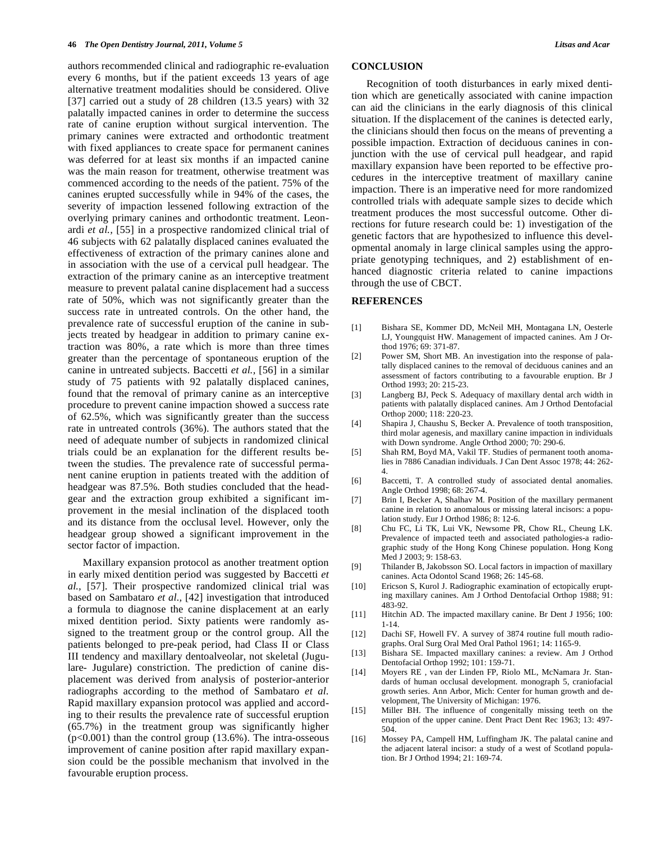authors recommended clinical and radiographic re-evaluation every 6 months, but if the patient exceeds 13 years of age alternative treatment modalities should be considered. Olive [37] carried out a study of 28 children (13.5 years) with 32 palatally impacted canines in order to determine the success rate of canine eruption without surgical intervention. The primary canines were extracted and orthodontic treatment with fixed appliances to create space for permanent canines was deferred for at least six months if an impacted canine was the main reason for treatment, otherwise treatment was commenced according to the needs of the patient. 75% of the canines erupted successfully while in 94% of the cases, the severity of impaction lessened following extraction of the overlying primary canines and orthodontic treatment. Leonardi *et al.,* [55] in a prospective randomized clinical trial of 46 subjects with 62 palatally displaced canines evaluated the effectiveness of extraction of the primary canines alone and in association with the use of a cervical pull headgear. The extraction of the primary canine as an interceptive treatment measure to prevent palatal canine displacement had a success rate of 50%, which was not significantly greater than the success rate in untreated controls. On the other hand, the prevalence rate of successful eruption of the canine in subjects treated by headgear in addition to primary canine extraction was 80%, a rate which is more than three times greater than the percentage of spontaneous eruption of the canine in untreated subjects. Baccetti *et al.,* [56] in a similar study of 75 patients with 92 palatally displaced canines, found that the removal of primary canine as an interceptive procedure to prevent canine impaction showed a success rate of 62.5%, which was significantly greater than the success rate in untreated controls (36%). The authors stated that the need of adequate number of subjects in randomized clinical trials could be an explanation for the different results between the studies. The prevalence rate of successful permanent canine eruption in patients treated with the addition of headgear was 87.5%. Both studies concluded that the headgear and the extraction group exhibited a significant improvement in the mesial inclination of the displaced tooth and its distance from the occlusal level. However, only the headgear group showed a significant improvement in the sector factor of impaction.

Maxillary expansion protocol as another treatment option in early mixed dentition period was suggested by Baccetti *et al.,* [57]. Their prospective randomized clinical trial was based on Sambataro *et al.,* [42] investigation that introduced a formula to diagnose the canine displacement at an early mixed dentition period. Sixty patients were randomly assigned to the treatment group or the control group. All the patients belonged to pre-peak period, had Class II or Class III tendency and maxillary dentoalveolar, not skeletal (Jugulare- Jugulare) constriction. The prediction of canine displacement was derived from analysis of posterior-anterior radiographs according to the method of Sambataro *et al.* Rapid maxillary expansion protocol was applied and according to their results the prevalence rate of successful eruption (65.7%) in the treatment group was significantly higher  $(p<0.001)$  than the control group (13.6%). The intra-osseous improvement of canine position after rapid maxillary expansion could be the possible mechanism that involved in the favourable eruption process.

## **CONCLUSION**

Recognition of tooth disturbances in early mixed dentition which are genetically associated with canine impaction can aid the clinicians in the early diagnosis of this clinical situation. If the displacement of the canines is detected early, the clinicians should then focus on the means of preventing a possible impaction. Extraction of deciduous canines in conjunction with the use of cervical pull headgear, and rapid maxillary expansion have been reported to be effective procedures in the interceptive treatment of maxillary canine impaction. There is an imperative need for more randomized controlled trials with adequate sample sizes to decide which treatment produces the most successful outcome. Other directions for future research could be: 1) investigation of the genetic factors that are hypothesized to influence this developmental anomaly in large clinical samples using the appropriate genotyping techniques, and 2) establishment of enhanced diagnostic criteria related to canine impactions through the use of CBCT.

## **REFERENCES**

- [1] Bishara SE, Kommer DD, McNeil MH, Montagana LN, Oesterle LJ, Youngquist HW. Management of impacted canines. Am J Orthod 1976; 69: 371-87.
- [2] Power SM, Short MB. An investigation into the response of palatally displaced canines to the removal of deciduous canines and an assessment of factors contributing to a favourable eruption. Br J Orthod 1993; 20: 215-23.
- [3] Langberg BJ, Peck S. Adequacy of maxillary dental arch width in patients with palatally displaced canines. Am J Orthod Dentofacial Orthop 2000; 118: 220-23.
- [4] Shapira J, Chaushu S, Becker A. Prevalence of tooth transposition, third molar agenesis, and maxillary canine impaction in individuals with Down syndrome. Angle Orthod 2000; 70: 290-6.
- [5] Shah RM, Boyd MA, Vakil TF. Studies of permanent tooth anomalies in 7886 Canadian individuals. J Can Dent Assoc 1978; 44: 262- 4.
- [6] Baccetti, T. A controlled study of associated dental anomalies. Angle Orthod 1998; 68: 267-4.
- [7] Brin I, Becker A, Shalhav M. Position of the maxillary permanent canine in relation to anomalous or missing lateral incisors: a population study. Eur J Orthod 1986; 8: 12-6.
- [8] Chu FC, Li TK, Lui VK, Newsome PR, Chow RL, Cheung LK. Prevalence of impacted teeth and associated pathologies-a radiographic study of the Hong Kong Chinese population. Hong Kong Med J 2003; 9: 158-63.
- [9] Thilander B, Jakobsson SO. Local factors in impaction of maxillary canines. Acta Odontol Scand 1968; 26: 145-68.
- [10] Ericson S, Kurol J. Radiographic examination of ectopically erupting maxillary canines. Am J Orthod Dentofacial Orthop 1988; 91: 483-92.
- [11] Hitchin AD. The impacted maxillary canine. Br Dent J 1956; 100: 1-14.
- [12] Dachi SF, Howell FV. A survey of 3874 routine full mouth radiographs. Oral Surg Oral Med Oral Pathol 1961; 14: 1165-9.
- [13] Bishara SE. Impacted maxillary canines: a review. Am J Orthod Dentofacial Orthop 1992; 101: 159-71.
- [14] Moyers RE , van der Linden FP, Riolo ML, McNamara Jr. Standards of human occlusal development. monograph 5, craniofacial growth series. Ann Arbor, Mich: Center for human growth and development, The University of Michigan: 1976.
- [15] Miller BH. The influence of congenitally missing teeth on the eruption of the upper canine. Dent Pract Dent Rec 1963; 13: 497- 504.
- [16] Mossey PA, Campell HM, Luffingham JK. The palatal canine and the adjacent lateral incisor: a study of a west of Scotland population. Br J Orthod 1994; 21: 169-74.